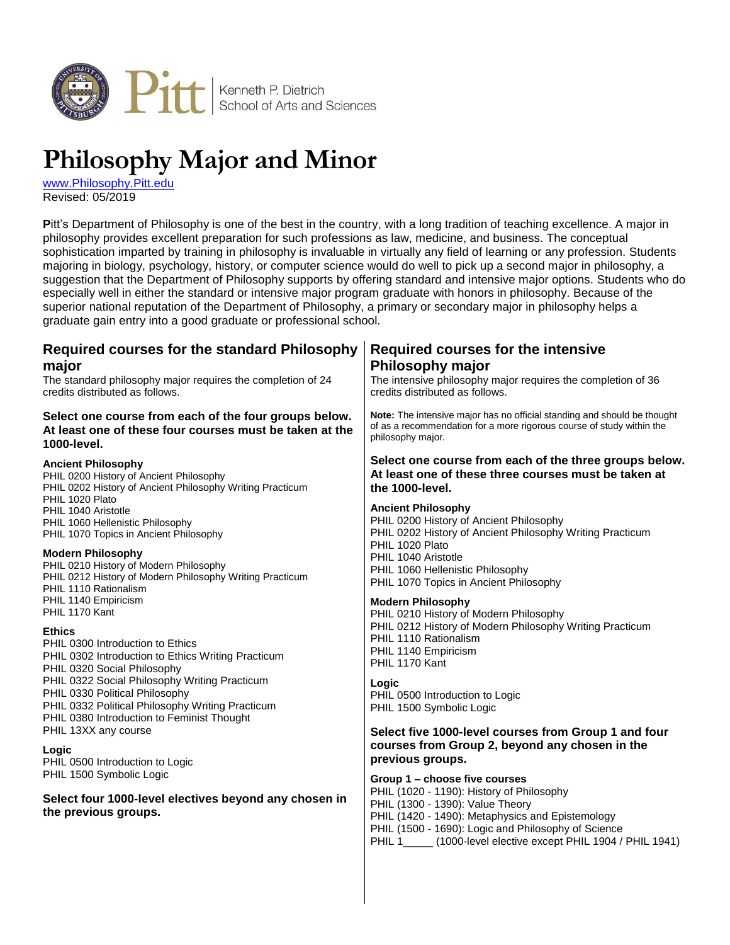

# **Philosophy Major and Minor**

[www.Philosophy.Pitt.edu](http://www.philosophy.pitt.edu/) Revised: 05/2019

**P**itt's Department of Philosophy is one of the best in the country, with a long tradition of teaching excellence. A major in philosophy provides excellent preparation for such professions as law, medicine, and business. The conceptual sophistication imparted by training in philosophy is invaluable in virtually any field of learning or any profession. Students majoring in biology, psychology, history, or computer science would do well to pick up a second major in philosophy, a suggestion that the Department of Philosophy supports by offering standard and intensive major options. Students who do especially well in either the standard or intensive major program graduate with honors in philosophy. Because of the superior national reputation of the Department of Philosophy, a primary or secondary major in philosophy helps a graduate gain entry into a good graduate or professional school.

| Required courses for the standard Philosophy<br>major<br>The standard philosophy major requires the completion of 24<br>credits distributed as follows.                           | <b>Required courses for the intensive</b><br>Philosophy major<br>The intensive philosophy major requires the completion of 36<br>credits distributed as follows.                                                                                                                          |
|-----------------------------------------------------------------------------------------------------------------------------------------------------------------------------------|-------------------------------------------------------------------------------------------------------------------------------------------------------------------------------------------------------------------------------------------------------------------------------------------|
| Select one course from each of the four groups below.<br>At least one of these four courses must be taken at the<br>1000-level.                                                   | Note: The intensive major has no official standing and should be thought<br>of as a recommendation for a more rigorous course of study within the<br>philosophy major.                                                                                                                    |
| <b>Ancient Philosophy</b><br>PHIL 0200 History of Ancient Philosophy<br>PHIL 0202 History of Ancient Philosophy Writing Practicum<br>PHIL 1020 Plato                              | Select one course from each of the three groups below.<br>At least one of these three courses must be taken at<br>the 1000-level.                                                                                                                                                         |
| PHIL 1040 Aristotle<br>PHIL 1060 Hellenistic Philosophy<br>PHIL 1070 Topics in Ancient Philosophy                                                                                 | <b>Ancient Philosophy</b><br>PHIL 0200 History of Ancient Philosophy<br>PHIL 0202 History of Ancient Philosophy Writing Practicum<br>PHIL 1020 Plato                                                                                                                                      |
| <b>Modern Philosophy</b><br>PHIL 0210 History of Modern Philosophy<br>PHIL 0212 History of Modern Philosophy Writing Practicum<br>PHIL 1110 Rationalism                           | PHIL 1040 Aristotle<br>PHIL 1060 Hellenistic Philosophy<br>PHIL 1070 Topics in Ancient Philosophy                                                                                                                                                                                         |
| PHIL 1140 Empiricism<br>PHIL 1170 Kant                                                                                                                                            | <b>Modern Philosophy</b><br>PHIL 0210 History of Modern Philosophy                                                                                                                                                                                                                        |
| <b>Ethics</b><br>PHIL 0300 Introduction to Ethics<br>PHIL 0302 Introduction to Ethics Writing Practicum<br>PHIL 0320 Social Philosophy                                            | PHIL 0212 History of Modern Philosophy Writing Practicum<br>PHIL 1110 Rationalism<br>PHIL 1140 Empiricism<br>PHIL 1170 Kant                                                                                                                                                               |
| PHIL 0322 Social Philosophy Writing Practicum<br>PHIL 0330 Political Philosophy<br>PHIL 0332 Political Philosophy Writing Practicum<br>PHIL 0380 Introduction to Feminist Thought | Logic<br>PHIL 0500 Introduction to Logic<br>PHIL 1500 Symbolic Logic                                                                                                                                                                                                                      |
| PHIL 13XX any course                                                                                                                                                              | Select five 1000-level courses from Group 1 and four                                                                                                                                                                                                                                      |
| Logic<br>PHIL 0500 Introduction to Logic                                                                                                                                          | courses from Group 2, beyond any chosen in the<br>previous groups.                                                                                                                                                                                                                        |
| PHIL 1500 Symbolic Logic<br>Select four 1000-level electives beyond any chosen in<br>the previous groups.                                                                         | Group 1 - choose five courses<br>PHIL (1020 - 1190): History of Philosophy<br>PHIL (1300 - 1390): Value Theory<br>PHIL (1420 - 1490): Metaphysics and Epistemology<br>PHIL (1500 - 1690): Logic and Philosophy of Science<br>PHIL 1<br>(1000-level elective except PHIL 1904 / PHIL 1941) |